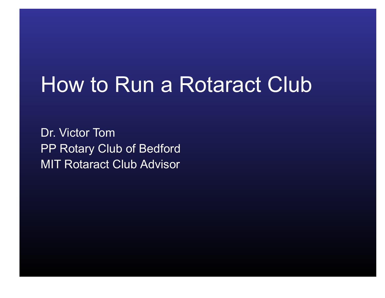# How to Run a Rotaract Club

Dr. Victor Tom PP Rotary Club of Bedford MIT Rotaract Club Advisor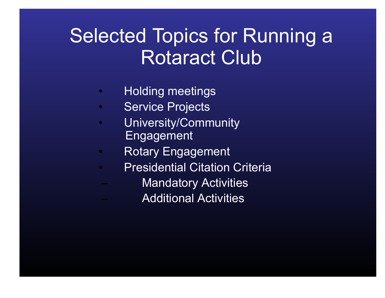### Selected Topics for Running a Rotaract Club

- Holding meetings
- Service Projects
- University/Community Engagement
- Rotary Engagement
- Presidential Citation Criteria
	- **Mandatory Activities** 
		- Additional Activities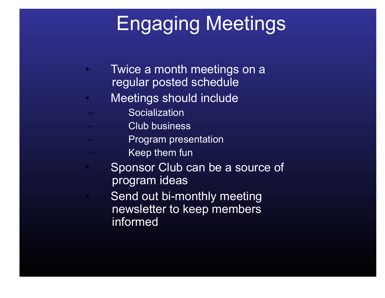## Engaging Meetings

- Twice a month meetings on a regular posted schedule
- Meetings should include
	- **Socialization**
	- Club business
- **Example Sensical**<br>External design resentation<br>Loading Reading Reading Reading film
	- Keep them fun
- Sponsor Club can be a source of program ideas
	- Send out bi-monthly meeting newsletter to keep members informed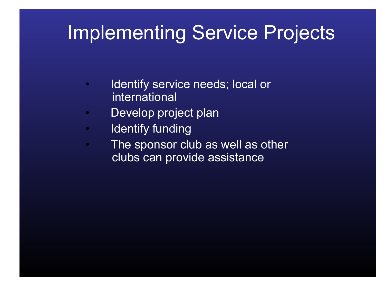### Implementing Service Projects

- Identify service needs; local or international
- Develop project plan
- Identify funding
- The sponsor club as well as other clubs can provide assistance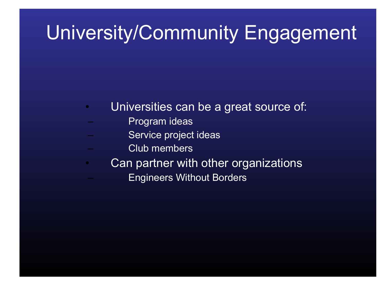### University/Community Engagement

- Universities can be a great source of:
	- Program ideas
- Europect ideas<br>Europect ideas<br>Europect ideas
	- Club members
- Can partner with other organizations
	- Engineers Without Borders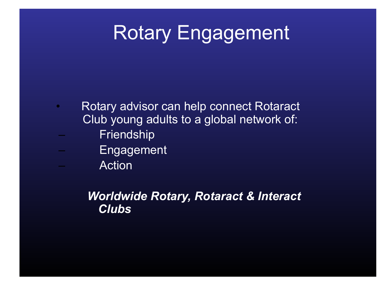### Rotary Engagement

- Rotary advisor can help connect Rotaract Club young adults to a global network of:
	- **Friendship**
	- **Engagement** 
		- **Action**

#### *Worldwide Rotary, Rotaract & Interact Clubs*